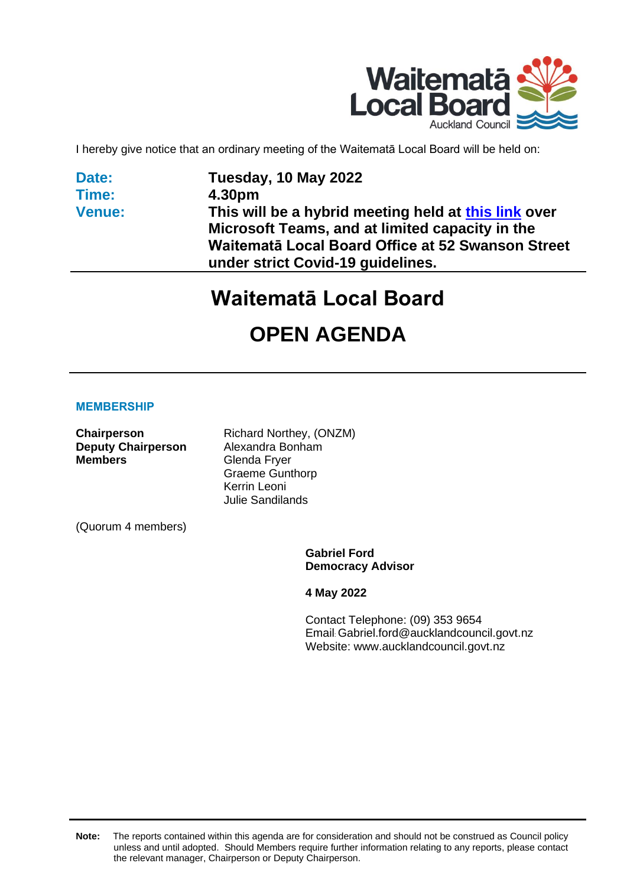

I hereby give notice that an ordinary meeting of the Waitematā Local Board will be held on:

**Date: Time: Venue:**

## **Tuesday, 10 May 2022 4.30pm This will be a hybrid meeting held at [this link](https://teams.microsoft.com/l/meetup-join/19%3ameeting_NGI3OGQ3OTctNDg2YS00YTgyLThiM2ItMWNlMTM1OThhMGE4%40thread.v2/0?context=%7b%22Tid%22%3a%228d73b928-6d5e-4c72-8533-a45ec5d6cc2b%22%2c%22Oid%22%3a%2266bdd5f6-2140-417c-af93-4ade573d31bc%22%7d) over Microsoft Teams, and at limited capacity in the Waitematā Local Board Office at 52 Swanson Street under strict Covid-19 guidelines.**

# **Waitematā Local Board**

# **OPEN AGENDA**

#### **MEMBERSHIP**

| Chairperson               | Richard Northey, (ONZM) |
|---------------------------|-------------------------|
| <b>Deputy Chairperson</b> | Alexandra Bonham        |
| <b>Members</b>            | Glenda Fryer            |
|                           | <b>Graeme Gunthorp</b>  |
|                           | Kerrin Leoni            |
|                           | <b>Julie Sandilands</b> |
| (Quorum 4 members)        |                         |

**Gabriel Ford Democracy Advisor**

**4 May 2022**

Contact Telephone: (09) 353 9654 Email: Gabriel.ford@aucklandcouncil.govt.nz Website: www.aucklandcouncil.govt.nz

**Note:** The reports contained within this agenda are for consideration and should not be construed as Council policy unless and until adopted. Should Members require further information relating to any reports, please contact the relevant manager, Chairperson or Deputy Chairperson.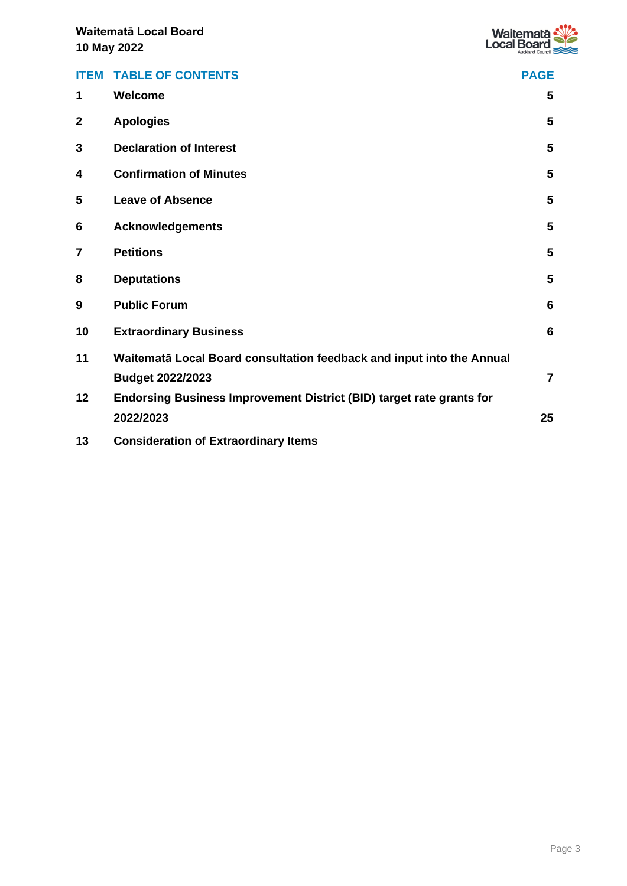

| <b>ITEM</b>    | <b>TABLE OF CONTENTS</b>                                              | <b>PAGE</b>    |
|----------------|-----------------------------------------------------------------------|----------------|
| 1              | Welcome                                                               | 5              |
| $\mathbf{2}$   | <b>Apologies</b>                                                      | 5              |
| 3              | <b>Declaration of Interest</b>                                        | 5              |
| 4              | <b>Confirmation of Minutes</b>                                        | 5              |
| 5              | <b>Leave of Absence</b>                                               | 5              |
| 6              | <b>Acknowledgements</b>                                               | 5              |
| $\overline{7}$ | <b>Petitions</b>                                                      | 5              |
| 8              | <b>Deputations</b>                                                    | 5              |
| 9              | <b>Public Forum</b>                                                   | 6              |
| 10             | <b>Extraordinary Business</b>                                         | 6              |
| 11             | Waitematā Local Board consultation feedback and input into the Annual |                |
|                | <b>Budget 2022/2023</b>                                               | $\overline{7}$ |
| 12             | Endorsing Business Improvement District (BID) target rate grants for  |                |
|                | 2022/2023                                                             | 25             |
| 13             | <b>Consideration of Extraordinary Items</b>                           |                |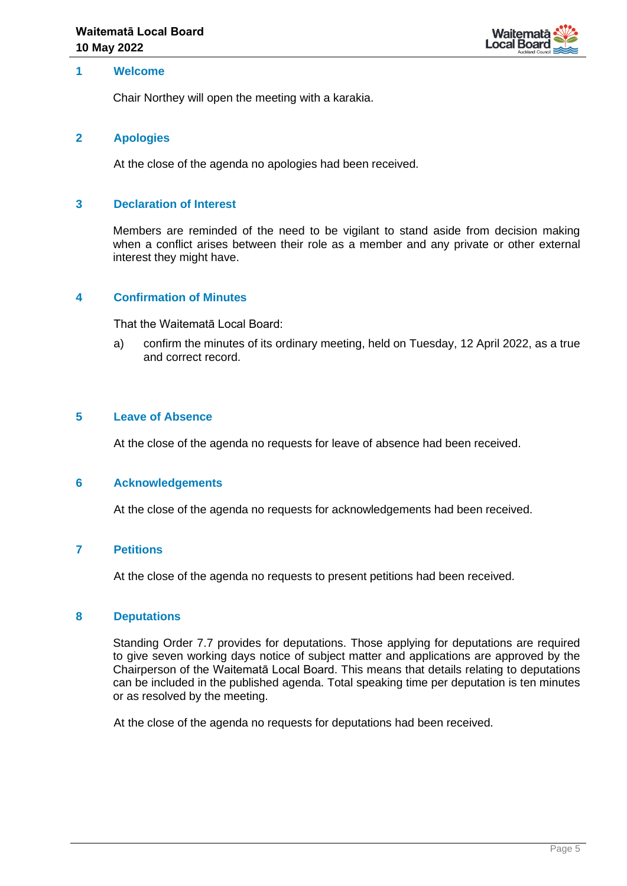

#### <span id="page-4-0"></span>**1 Welcome**

Chair Northey will open the meeting with a karakia.

#### <span id="page-4-1"></span>**2 Apologies**

At the close of the agenda no apologies had been received.

#### <span id="page-4-2"></span>**3 Declaration of Interest**

Members are reminded of the need to be vigilant to stand aside from decision making when a conflict arises between their role as a member and any private or other external interest they might have.

#### <span id="page-4-3"></span>**4 Confirmation of Minutes**

That the Waitematā Local Board:

a) confirm the minutes of its ordinary meeting, held on Tuesday, 12 April 2022, as a true and correct record.

#### <span id="page-4-4"></span>**5 Leave of Absence**

At the close of the agenda no requests for leave of absence had been received.

#### <span id="page-4-5"></span>**6 Acknowledgements**

At the close of the agenda no requests for acknowledgements had been received.

#### <span id="page-4-6"></span>**7 Petitions**

At the close of the agenda no requests to present petitions had been received.

#### <span id="page-4-7"></span>**8 Deputations**

Standing Order 7.7 provides for deputations. Those applying for deputations are required to give seven working days notice of subject matter and applications are approved by the Chairperson of the Waitematā Local Board. This means that details relating to deputations can be included in the published agenda. Total speaking time per deputation is ten minutes or as resolved by the meeting.

At the close of the agenda no requests for deputations had been received.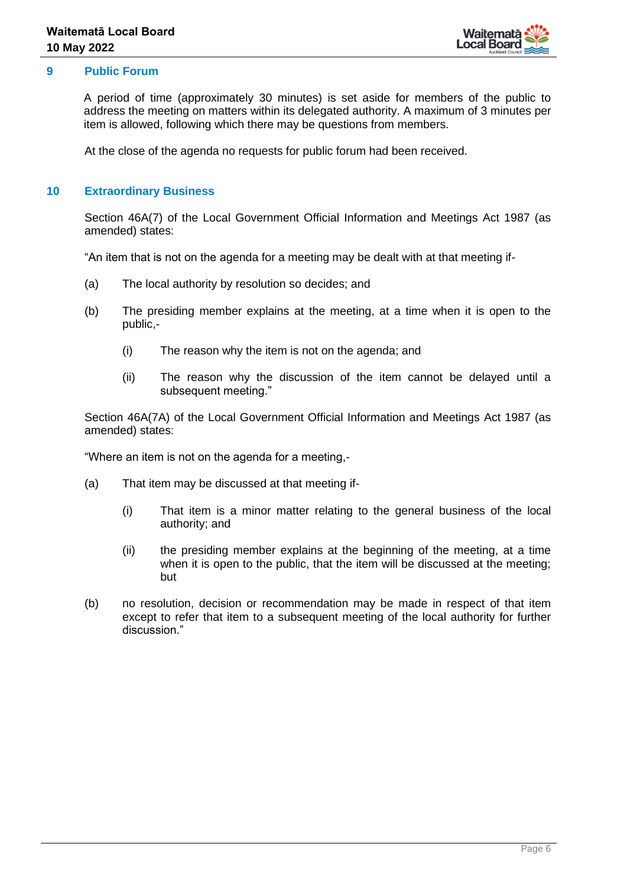

#### <span id="page-5-0"></span>**9 Public Forum**

A period of time (approximately 30 minutes) is set aside for members of the public to address the meeting on matters within its delegated authority. A maximum of 3 minutes per item is allowed, following which there may be questions from members.

At the close of the agenda no requests for public forum had been received.

### <span id="page-5-1"></span>**10 Extraordinary Business**

Section 46A(7) of the Local Government Official Information and Meetings Act 1987 (as amended) states:

"An item that is not on the agenda for a meeting may be dealt with at that meeting if-

- (a) The local authority by resolution so decides; and
- (b) The presiding member explains at the meeting, at a time when it is open to the public,-
	- (i) The reason why the item is not on the agenda; and
	- (ii) The reason why the discussion of the item cannot be delayed until a subsequent meeting."

Section 46A(7A) of the Local Government Official Information and Meetings Act 1987 (as amended) states:

"Where an item is not on the agenda for a meeting,-

- (a) That item may be discussed at that meeting if-
	- (i) That item is a minor matter relating to the general business of the local authority; and
	- (ii) the presiding member explains at the beginning of the meeting, at a time when it is open to the public, that the item will be discussed at the meeting; but
- (b) no resolution, decision or recommendation may be made in respect of that item except to refer that item to a subsequent meeting of the local authority for further discussion."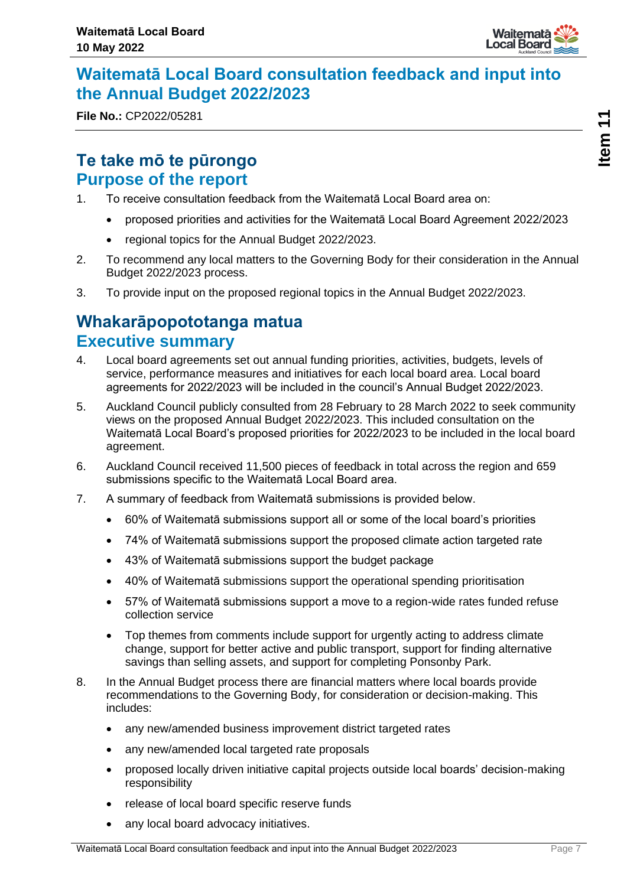

## <span id="page-6-0"></span>**Waitematā Local Board consultation feedback and input into the Annual Budget 2022/2023**

**File No.:** CP2022/05281

## **Te take mō te pūrongo Purpose of the report**

- 1. To receive consultation feedback from the Waitematā Local Board area on:
	- proposed priorities and activities for the Waitematā Local Board Agreement 2022/2023
	- regional topics for the Annual Budget 2022/2023.
- 2. To recommend any local matters to the Governing Body for their consideration in the Annual Budget 2022/2023 process.
- 3. To provide input on the proposed regional topics in the Annual Budget 2022/2023.

## **Whakarāpopototanga matua Executive summary**

- 4. Local board agreements set out annual funding priorities, activities, budgets, levels of service, performance measures and initiatives for each local board area. Local board agreements for 2022/2023 will be included in the council's Annual Budget 2022/2023.
- 5. Auckland Council publicly consulted from 28 February to 28 March 2022 to seek community views on the proposed Annual Budget 2022/2023. This included consultation on the Waitematā Local Board's proposed priorities for 2022/2023 to be included in the local board agreement.
- 6. Auckland Council received 11,500 pieces of feedback in total across the region and 659 submissions specific to the Waitematā Local Board area.
- 7. A summary of feedback from Waitematā submissions is provided below.
	- 60% of Waitematā submissions support all or some of the local board's priorities
	- 74% of Waitematā submissions support the proposed climate action targeted rate
	- 43% of Waitematā submissions support the budget package
	- 40% of Waitematā submissions support the operational spending prioritisation
	- 57% of Waitematā submissions support a move to a region-wide rates funded refuse collection service
	- Top themes from comments include support for urgently acting to address climate change, support for better active and public transport, support for finding alternative savings than selling assets, and support for completing Ponsonby Park.
- 8. In the Annual Budget process there are financial matters where local boards provide recommendations to the Governing Body, for consideration or decision-making. This includes:
	- any new/amended business improvement district targeted rates
	- any new/amended local targeted rate proposals
	- proposed locally driven initiative capital projects outside local boards' decision-making responsibility
	- release of local board specific reserve funds
	- any local board advocacy initiatives.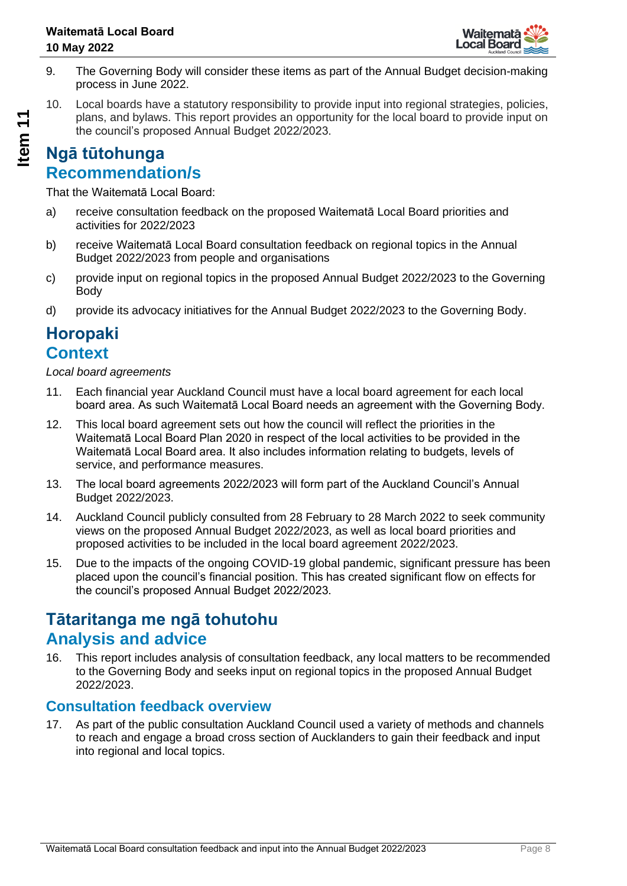

- 9. The Governing Body will consider these items as part of the Annual Budget decision-making process in June 2022.
- 10. Local boards have a statutory responsibility to provide input into regional strategies, policies, plans, and bylaws. This report provides an opportunity for the local board to provide input on the council's proposed Annual Budget 2022/2023.

## **Ngā tūtohunga Recommendation/s**

That the Waitematā Local Board:

- a) receive consultation feedback on the proposed Waitematā Local Board priorities and activities for 2022/2023
- b) receive Waitematā Local Board consultation feedback on regional topics in the Annual Budget 2022/2023 from people and organisations
- c) provide input on regional topics in the proposed Annual Budget 2022/2023 to the Governing Body
- d) provide its advocacy initiatives for the Annual Budget 2022/2023 to the Governing Body.

## **Horopaki Context**

*Local board agreements* 

- 11. Each financial year Auckland Council must have a local board agreement for each local board area. As such Waitematā Local Board needs an agreement with the Governing Body.
- 12. This local board agreement sets out how the council will reflect the priorities in the Waitematā Local Board Plan 2020 in respect of the local activities to be provided in the Waitematā Local Board area. It also includes information relating to budgets, levels of service, and performance measures.
- 13. The local board agreements 2022/2023 will form part of the Auckland Council's Annual Budget 2022/2023.
- 14. Auckland Council publicly consulted from 28 February to 28 March 2022 to seek community views on the proposed Annual Budget 2022/2023, as well as local board priorities and proposed activities to be included in the local board agreement 2022/2023.
- 15. Due to the impacts of the ongoing COVID-19 global pandemic, significant pressure has been placed upon the council's financial position. This has created significant flow on effects for the council's proposed Annual Budget 2022/2023.

## **Tātaritanga me ngā tohutohu Analysis and advice**

16. This report includes analysis of consultation feedback, any local matters to be recommended to the Governing Body and seeks input on regional topics in the proposed Annual Budget 2022/2023.

## **Consultation feedback overview**

17. As part of the public consultation Auckland Council used a variety of methods and channels to reach and engage a broad cross section of Aucklanders to gain their feedback and input into regional and local topics.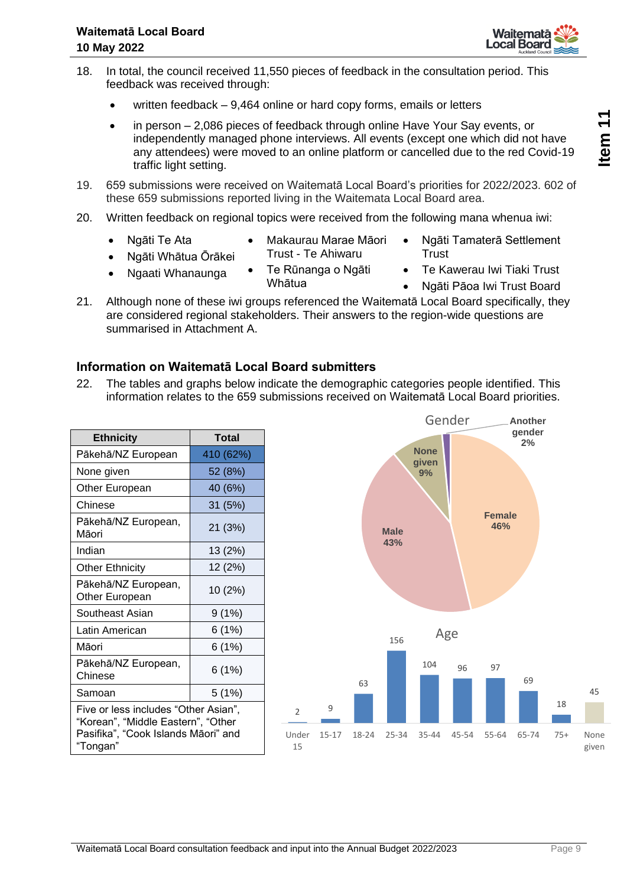- 18. In total, the council received 11,550 pieces of feedback in the consultation period. This feedback was received through:
	- written feedback 9,464 online or hard copy forms, emails or letters
	- in person 2,086 pieces of feedback through online Have Your Say events, or independently managed phone interviews. All events (except one which did not have any attendees) were moved to an online platform or cancelled due to the red Covid-19 traffic light setting.
- 19. 659 submissions were received on Waitematā Local Board's priorities for 2022/2023. 602 of these 659 submissions reported living in the Waitemata Local Board area.
- 20. Written feedback on regional topics were received from the following mana whenua iwi:
	- Ngāti Te Ata
- Makaurau Marae Māori Trust - Te Ahiwaru

Whātua

- Ngāti Whātua Ōrākei • Ngaati Whanaunga
- Te Rūnanga o Ngāti
	- Ngāti Pāoa Iwi Trust Board

**Trust** 

• Ngāti Tamaterā Settlement

• Te Kawerau Iwi Tiaki Trust

21. Although none of these iwi groups referenced the Waitematā Local Board specifically, they are considered regional stakeholders. Their answers to the region-wide questions are summarised in Attachment A.

## **Information on Waitematā Local Board submitters**

22. The tables and graphs below indicate the demographic categories people identified. This information relates to the 659 submissions received on Waitematā Local Board priorities.

| <b>Ethnicity</b>                                                                                                              | <b>Total</b> |  |
|-------------------------------------------------------------------------------------------------------------------------------|--------------|--|
| Pākehā/NZ European                                                                                                            | 410 (62%)    |  |
| None given                                                                                                                    | 52 (8%)      |  |
| Other European                                                                                                                | 40 (6%)      |  |
| Chinese                                                                                                                       | 31 (5%)      |  |
| Pākehā/NZ European,<br>Māori                                                                                                  | 21 (3%)      |  |
| Indian                                                                                                                        | 13 (2%)      |  |
| <b>Other Ethnicity</b>                                                                                                        | 12 (2%)      |  |
| Pākehā/NZ European,<br>Other European                                                                                         | 10 (2%)      |  |
| Southeast Asian                                                                                                               | 9 (1%)       |  |
| Latin American                                                                                                                | 6 (1%)       |  |
| Māori                                                                                                                         | 6 (1%)       |  |
| Pākehā/NZ European,<br>Chinese                                                                                                | 6(1%)        |  |
| Samoan                                                                                                                        | 5(1%)        |  |
| Five or less includes "Other Asian",<br>"Korean", "Middle Eastern", "Other<br>Pasifika", "Cook Islands Māori" and<br>"Tongan" |              |  |



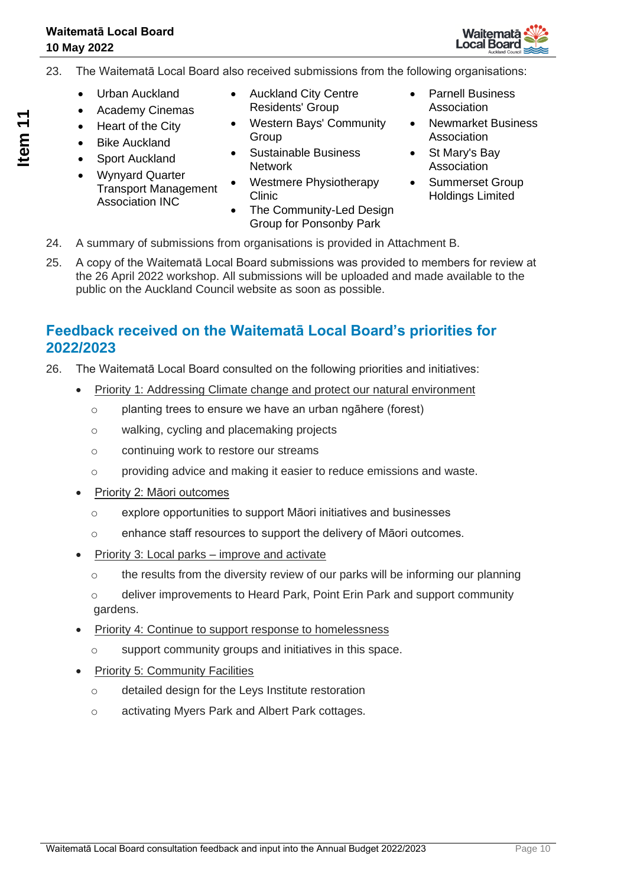

- 23. The Waitematā Local Board also received submissions from the following organisations:
	- Urban Auckland
	- Academy Cinemas
	- Heart of the City
	- Bike Auckland
	- Sport Auckland
	- Wynyard Quarter Transport Management Association INC
- Auckland City Centre Residents' Group
- Western Bays' Community Group
- Sustainable Business **Network**
- Westmere Physiotherapy Clinic
- The Community-Led Design Group for Ponsonby Park
- Parnell Business Association
- Newmarket Business Association
- St Mary's Bay Association
- Summerset Group Holdings Limited
- 24. A summary of submissions from organisations is provided in Attachment B.
- 25. A copy of the Waitematā Local Board submissions was provided to members for review at the 26 April 2022 workshop. All submissions will be uploaded and made available to the public on the Auckland Council website as soon as possible.

## **Feedback received on the Waitematā Local Board's priorities for 2022/2023**

- 26. The Waitematā Local Board consulted on the following priorities and initiatives:
	- Priority 1: Addressing Climate change and protect our natural environment
		- $\circ$  planting trees to ensure we have an urban ngāhere (forest)
		- o walking, cycling and placemaking projects
		- o continuing work to restore our streams
		- o providing advice and making it easier to reduce emissions and waste.
	- Priority 2: Māori outcomes
		- o explore opportunities to support Māori initiatives and businesses
		- o enhance staff resources to support the delivery of Māori outcomes.
	- Priority 3: Local parks improve and activate
		- o the results from the diversity review of our parks will be informing our planning
		- $\circ$  deliver improvements to Heard Park, Point Erin Park and support community gardens.
	- Priority 4: Continue to support response to homelessness
		- o support community groups and initiatives in this space.
	- Priority 5: Community Facilities
		- o detailed design for the Leys Institute restoration
		- o activating Myers Park and Albert Park cottages.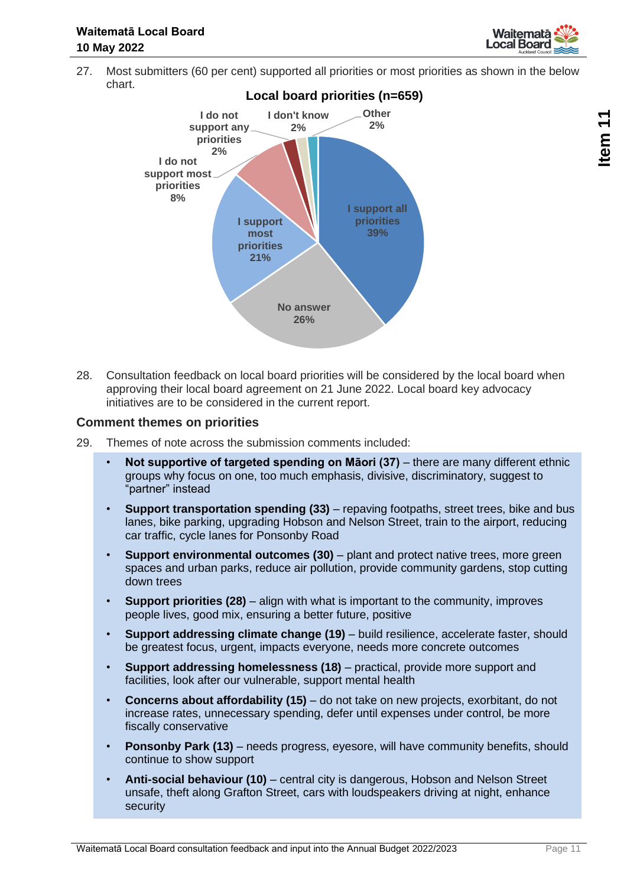

27. Most submitters (60 per cent) supported all priorities or most priorities as shown in the below chart.



28. Consultation feedback on local board priorities will be considered by the local board when approving their local board agreement on 21 June 2022. Local board key advocacy initiatives are to be considered in the current report.

#### **Comment themes on priorities**

- 29. Themes of note across the submission comments included:
	- Not supportive of targeted spending on Māori (37) there are many different ethnic groups why focus on one, too much emphasis, divisive, discriminatory, suggest to "partner" instead
	- **Support transportation spending (33)** repaving footpaths, street trees, bike and bus lanes, bike parking, upgrading Hobson and Nelson Street, train to the airport, reducing car traffic, cycle lanes for Ponsonby Road
	- **Support environmental outcomes (30)** plant and protect native trees, more green spaces and urban parks, reduce air pollution, provide community gardens, stop cutting down trees
	- **Support priorities (28)** align with what is important to the community, improves people lives, good mix, ensuring a better future, positive
	- **Support addressing climate change (19)** build resilience, accelerate faster, should be greatest focus, urgent, impacts everyone, needs more concrete outcomes
	- **Support addressing homelessness (18)**  practical, provide more support and facilities, look after our vulnerable, support mental health
	- **Concerns about affordability (15)** do not take on new projects, exorbitant, do not increase rates, unnecessary spending, defer until expenses under control, be more fiscally conservative
	- **Ponsonby Park (13)** needs progress, eyesore, will have community benefits, should continue to show support
	- **Anti-social behaviour (10)** central city is dangerous, Hobson and Nelson Street unsafe, theft along Grafton Street, cars with loudspeakers driving at night, enhance security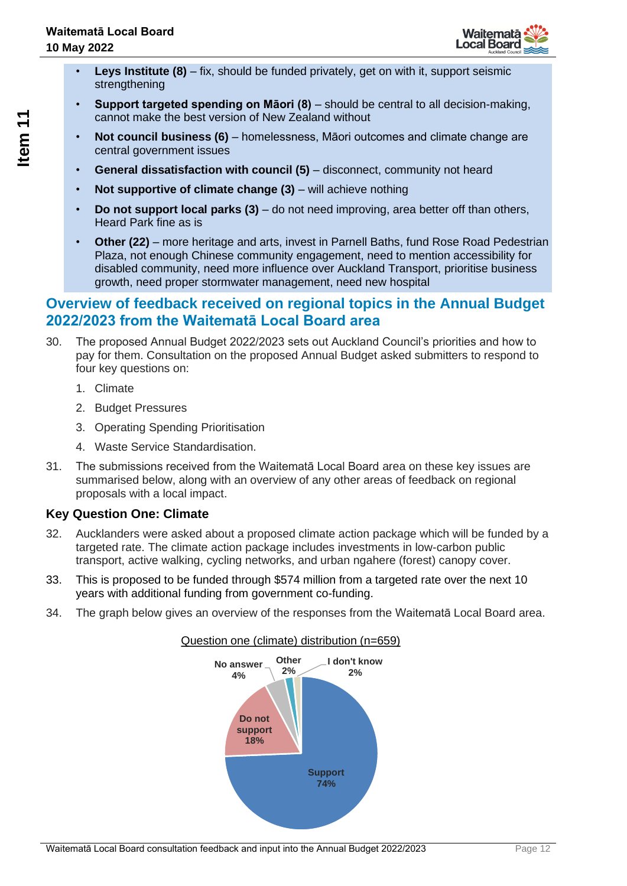

- **Leys Institute (8)** fix, should be funded privately, get on with it, support seismic strengthening
- **Support targeted spending on Māori (8)**  should be central to all decision-making, cannot make the best version of New Zealand without
- **Not council business (6)** homelessness, Māori outcomes and climate change are central government issues
- **General dissatisfaction with council (5)** disconnect, community not heard
- **Not supportive of climate change (3)** will achieve nothing
- **Do not support local parks (3)** do not need improving, area better off than others, Heard Park fine as is
- **Other (22)** more heritage and arts, invest in Parnell Baths, fund Rose Road Pedestrian Plaza, not enough Chinese community engagement, need to mention accessibility for disabled community, need more influence over Auckland Transport, prioritise business growth, need proper stormwater management, need new hospital

## **Overview of feedback received on regional topics in the Annual Budget 2022/2023 from the Waitematā Local Board area**

- 30. The proposed Annual Budget 2022/2023 sets out Auckland Council's priorities and how to pay for them. Consultation on the proposed Annual Budget asked submitters to respond to four key questions on:
	- 1. Climate
	- 2. Budget Pressures
	- 3. Operating Spending Prioritisation
	- 4. Waste Service Standardisation.
- 31. The submissions received from the Waitematā Local Board area on these key issues are summarised below, along with an overview of any other areas of feedback on regional proposals with a local impact.

## **Key Question One: Climate**

- 32. Aucklanders were asked about a proposed climate action package which will be funded by a targeted rate. The climate action package includes investments in low-carbon public transport, active walking, cycling networks, and urban ngahere (forest) canopy cover.
- 33. This is proposed to be funded through \$574 million from a targeted rate over the next 10 years with additional funding from government co-funding.
- 34. The graph below gives an overview of the responses from the Waitematā Local Board area.



# Question one (climate) distribution (n=659)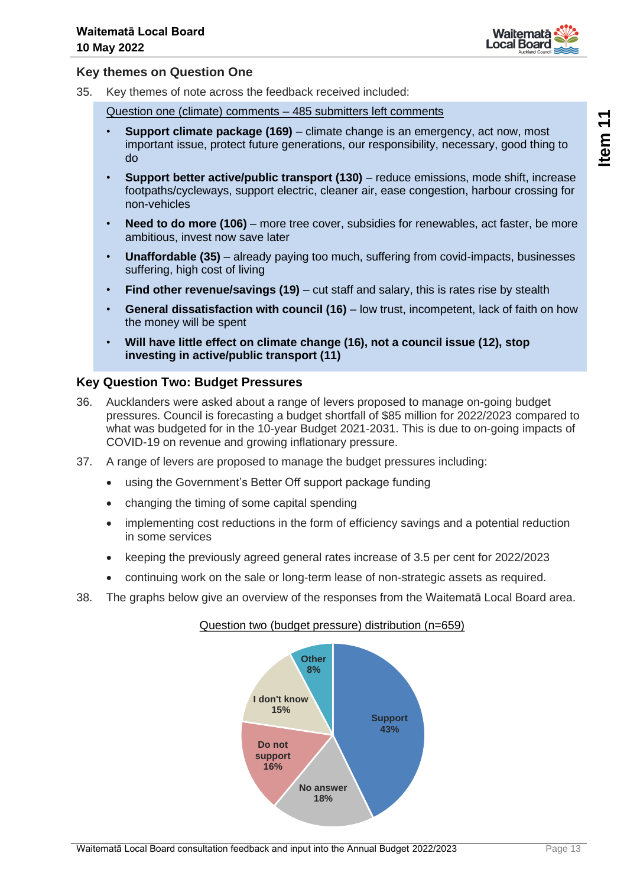

### **Key themes on Question One**

35. Key themes of note across the feedback received included:

Question one (climate) comments – 485 submitters left comments

- **Support climate package (169)** climate change is an emergency, act now, most important issue, protect future generations, our responsibility, necessary, good thing to do
- **Support better active/public transport (130)** reduce emissions, mode shift, increase footpaths/cycleways, support electric, cleaner air, ease congestion, harbour crossing for non-vehicles
- **Need to do more (106)** more tree cover, subsidies for renewables, act faster, be more ambitious, invest now save later
- **Unaffordable (35)** already paying too much, suffering from covid-impacts, businesses suffering, high cost of living
- **Find other revenue/savings (19)** cut staff and salary, this is rates rise by stealth
- **General dissatisfaction with council (16)** low trust, incompetent, lack of faith on how the money will be spent
- **Will have little effect on climate change (16), not a council issue (12), stop investing in active/public transport (11)**

### **Key Question Two: Budget Pressures**

- 36. Aucklanders were asked about a range of levers proposed to manage on-going budget pressures. Council is forecasting a budget shortfall of \$85 million for 2022/2023 compared to what was budgeted for in the 10-year Budget 2021-2031. This is due to on-going impacts of COVID-19 on revenue and growing inflationary pressure.
- 37. A range of levers are proposed to manage the budget pressures including:
	- using the Government's Better Off support package funding
	- changing the timing of some capital spending
	- implementing cost reductions in the form of efficiency savings and a potential reduction in some services
	- keeping the previously agreed general rates increase of 3.5 per cent for 2022/2023
	- continuing work on the sale or long-term lease of non-strategic assets as required.
- 38. The graphs below give an overview of the responses from the Waitematā Local Board area.

## **Support 43% No answer 18% Do not support 16% I don't know 15% Other 8%**

### Question two (budget pressure) distribution (n=659)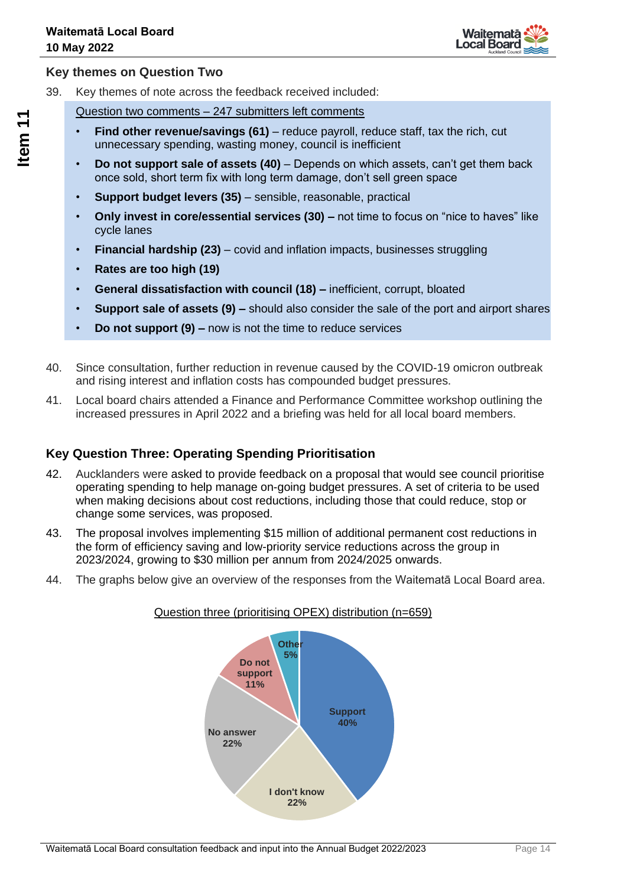

## **Key themes on Question Two**

39. Key themes of note across the feedback received included:

Question two comments – 247 submitters left comments

- **Find other revenue/savings (61)** reduce payroll, reduce staff, tax the rich, cut unnecessary spending, wasting money, council is inefficient
- **Do not support sale of assets (40)** Depends on which assets, can't get them back once sold, short term fix with long term damage, don't sell green space
- **Support budget levers (35)** sensible, reasonable, practical
- **Only invest in core/essential services (30) –** not time to focus on "nice to haves" like cycle lanes
- **Financial hardship (23)** covid and inflation impacts, businesses struggling
- **Rates are too high (19)**
- **General dissatisfaction with council (18) –** inefficient, corrupt, bloated
- **Support sale of assets (9) –** should also consider the sale of the port and airport shares
- **Do not support (9) –** now is not the time to reduce services
- 40. Since consultation, further reduction in revenue caused by the COVID-19 omicron outbreak and rising interest and inflation costs has compounded budget pressures.
- 41. Local board chairs attended a Finance and Performance Committee workshop outlining the increased pressures in April 2022 and a briefing was held for all local board members.

## **Key Question Three: Operating Spending Prioritisation**

- 42. Aucklanders were asked to provide feedback on a proposal that would see council prioritise operating spending to help manage on-going budget pressures. A set of criteria to be used when making decisions about cost reductions, including those that could reduce, stop or change some services, was proposed.
- 43. The proposal involves implementing \$15 million of additional permanent cost reductions in the form of efficiency saving and low-priority service reductions across the group in 2023/2024, growing to \$30 million per annum from 2024/2025 onwards.
- 44. The graphs below give an overview of the responses from the Waitematā Local Board area.





**Item 11**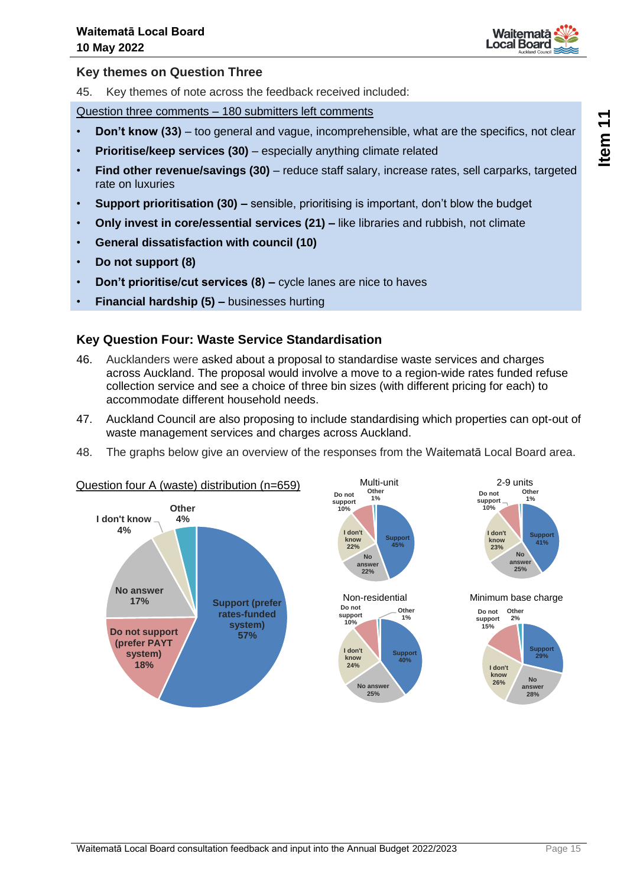

#### **Key themes on Question Three**

45. Key themes of note across the feedback received included:

Question three comments – 180 submitters left comments

- **Don't know (33)** too general and vague, incomprehensible, what are the specifics, not clear
- **Prioritise/keep services (30)** especially anything climate related
- **Find other revenue/savings (30)** reduce staff salary, increase rates, sell carparks, targeted rate on luxuries
- **Support prioritisation (30) –** sensible, prioritising is important, don't blow the budget
- **Only invest in core/essential services (21) –** like libraries and rubbish, not climate
- **General dissatisfaction with council (10)**
- **Do not support (8)**
- **Don't prioritise/cut services (8) –** cycle lanes are nice to haves
- **Financial hardship (5) –** businesses hurting

### **Key Question Four: Waste Service Standardisation**

- 46. Aucklanders were asked about a proposal to standardise waste services and charges across Auckland. The proposal would involve a move to a region-wide rates funded refuse collection service and see a choice of three bin sizes (with different pricing for each) to accommodate different household needs.
- 47. Auckland Council are also proposing to include standardising which properties can opt-out of waste management services and charges across Auckland.
- 48. The graphs below give an overview of the responses from the Waitematā Local Board area.

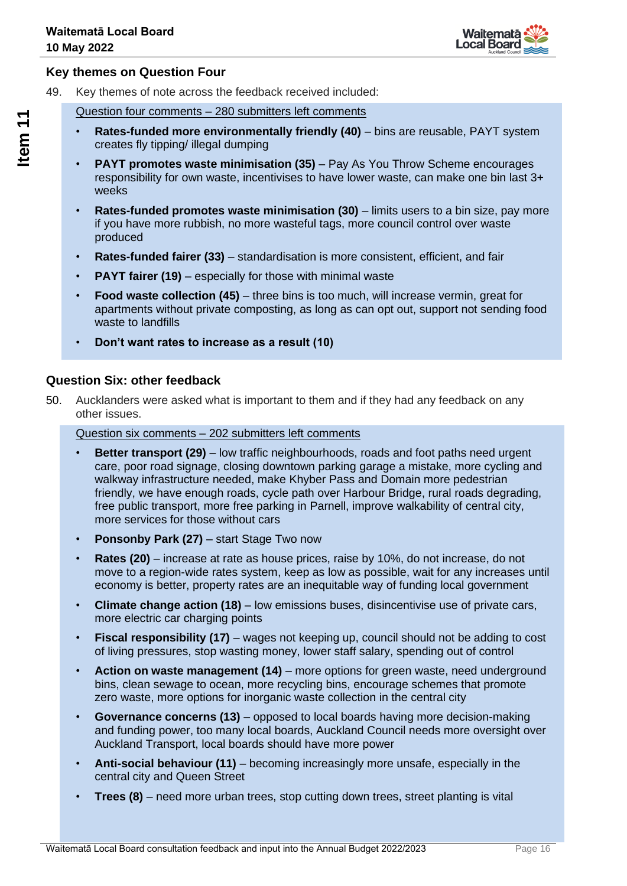

## **Key themes on Question Four**

49. Key themes of note across the feedback received included:

Question four comments – 280 submitters left comments

- **Rates-funded more environmentally friendly (40)** bins are reusable, PAYT system creates fly tipping/ illegal dumping
- **PAYT promotes waste minimisation (35)** Pay As You Throw Scheme encourages responsibility for own waste, incentivises to have lower waste, can make one bin last 3+ weeks
- **Rates-funded promotes waste minimisation (30)** limits users to a bin size, pay more if you have more rubbish, no more wasteful tags, more council control over waste produced
- **Rates-funded fairer (33)** standardisation is more consistent, efficient, and fair
- **PAYT fairer (19)** especially for those with minimal waste
- **Food waste collection (45)** three bins is too much, will increase vermin, great for apartments without private composting, as long as can opt out, support not sending food waste to landfills
- **Don't want rates to increase as a result (10)**

### **Question Six: other feedback**

50. Aucklanders were asked what is important to them and if they had any feedback on any other issues.

Question six comments – 202 submitters left comments

- **Better transport (29)** low traffic neighbourhoods, roads and foot paths need urgent care, poor road signage, closing downtown parking garage a mistake, more cycling and walkway infrastructure needed, make Khyber Pass and Domain more pedestrian friendly, we have enough roads, cycle path over Harbour Bridge, rural roads degrading, free public transport, more free parking in Parnell, improve walkability of central city, more services for those without cars
- **Ponsonby Park (27)** start Stage Two now
- **Rates (20)** increase at rate as house prices, raise by 10%, do not increase, do not move to a region-wide rates system, keep as low as possible, wait for any increases until economy is better, property rates are an inequitable way of funding local government
- **Climate change action (18)** low emissions buses, disincentivise use of private cars, more electric car charging points
- **Fiscal responsibility (17)** wages not keeping up, council should not be adding to cost of living pressures, stop wasting money, lower staff salary, spending out of control
- **Action on waste management (14)** more options for green waste, need underground bins, clean sewage to ocean, more recycling bins, encourage schemes that promote zero waste, more options for inorganic waste collection in the central city
- **Governance concerns (13)** opposed to local boards having more decision-making and funding power, too many local boards, Auckland Council needs more oversight over Auckland Transport, local boards should have more power
- **Anti-social behaviour (11)** becoming increasingly more unsafe, especially in the central city and Queen Street
- **Trees (8)** need more urban trees, stop cutting down trees, street planting is vital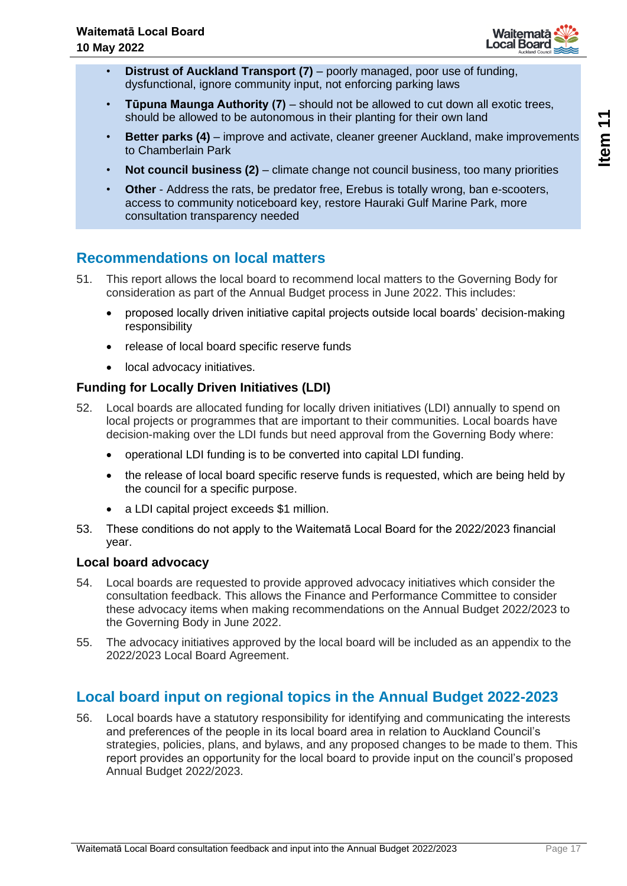

- **Distrust of Auckland Transport (7)** poorly managed, poor use of funding, dysfunctional, ignore community input, not enforcing parking laws
- **Tūpuna Maunga Authority (7)** should not be allowed to cut down all exotic trees, should be allowed to be autonomous in their planting for their own land
- **Better parks (4)** improve and activate, cleaner greener Auckland, make improvements to Chamberlain Park
- **Not council business (2)** climate change not council business, too many priorities
- **Other** Address the rats, be predator free, Erebus is totally wrong, ban e-scooters, access to community noticeboard key, restore Hauraki Gulf Marine Park, more consultation transparency needed

## **Recommendations on local matters**

- 51. This report allows the local board to recommend local matters to the Governing Body for consideration as part of the Annual Budget process in June 2022. This includes:
	- proposed locally driven initiative capital projects outside local boards' decision-making responsibility
	- release of local board specific reserve funds
	- local advocacy initiatives.

## **Funding for Locally Driven Initiatives (LDI)**

- 52. Local boards are allocated funding for locally driven initiatives (LDI) annually to spend on local projects or programmes that are important to their communities. Local boards have decision-making over the LDI funds but need approval from the Governing Body where:
	- operational LDI funding is to be converted into capital LDI funding.
	- the release of local board specific reserve funds is requested, which are being held by the council for a specific purpose.
	- a LDI capital project exceeds \$1 million.
- 53. These conditions do not apply to the Waitematā Local Board for the 2022/2023 financial year.

## **Local board advocacy**

- 54. Local boards are requested to provide approved advocacy initiatives which consider the consultation feedback. This allows the Finance and Performance Committee to consider these advocacy items when making recommendations on the Annual Budget 2022/2023 to the Governing Body in June 2022.
- 55. The advocacy initiatives approved by the local board will be included as an appendix to the 2022/2023 Local Board Agreement.

## **Local board input on regional topics in the Annual Budget 2022-2023**

56. Local boards have a statutory responsibility for identifying and communicating the interests and preferences of the people in its local board area in relation to Auckland Council's strategies, policies, plans, and bylaws, and any proposed changes to be made to them. This report provides an opportunity for the local board to provide input on the council's proposed Annual Budget 2022/2023.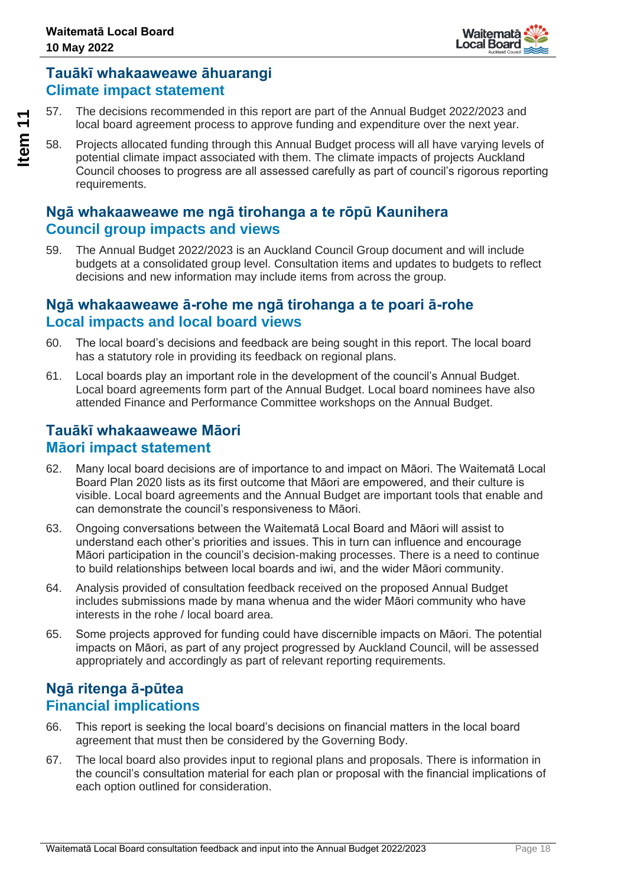

## **Tauākī whakaaweawe āhuarangi Climate impact statement**

57. The decisions recommended in this report are part of the Annual Budget 2022/2023 and local board agreement process to approve funding and expenditure over the next year.

58. Projects allocated funding through this Annual Budget process will all have varying levels of potential climate impact associated with them. The climate impacts of projects Auckland Council chooses to progress are all assessed carefully as part of council's rigorous reporting requirements.

## **Ngā whakaaweawe me ngā tirohanga a te rōpū Kaunihera Council group impacts and views**

59. The Annual Budget 2022/2023 is an Auckland Council Group document and will include budgets at a consolidated group level. Consultation items and updates to budgets to reflect decisions and new information may include items from across the group.

## **Ngā whakaaweawe ā-rohe me ngā tirohanga a te poari ā-rohe Local impacts and local board views**

- 60. The local board's decisions and feedback are being sought in this report. The local board has a statutory role in providing its feedback on regional plans.
- 61. Local boards play an important role in the development of the council's Annual Budget. Local board agreements form part of the Annual Budget. Local board nominees have also attended Finance and Performance Committee workshops on the Annual Budget.

## **Tauākī whakaaweawe Māori Māori impact statement**

- 62. Many local board decisions are of importance to and impact on Māori. The Waitematā Local Board Plan 2020 lists as its first outcome that Māori are empowered, and their culture is visible. Local board agreements and the Annual Budget are important tools that enable and can demonstrate the council's responsiveness to Māori.
- 63. Ongoing conversations between the Waitematā Local Board and Māori will assist to understand each other's priorities and issues. This in turn can influence and encourage Māori participation in the council's decision-making processes. There is a need to continue to build relationships between local boards and iwi, and the wider Māori community.
- 64. Analysis provided of consultation feedback received on the proposed Annual Budget includes submissions made by mana whenua and the wider Māori community who have interests in the rohe / local board area.
- 65. Some projects approved for funding could have discernible impacts on Māori. The potential impacts on Māori, as part of any project progressed by Auckland Council, will be assessed appropriately and accordingly as part of relevant reporting requirements.

## **Ngā ritenga ā-pūtea Financial implications**

- 66. This report is seeking the local board's decisions on financial matters in the local board agreement that must then be considered by the Governing Body.
- 67. The local board also provides input to regional plans and proposals. There is information in the council's consultation material for each plan or proposal with the financial implications of each option outlined for consideration.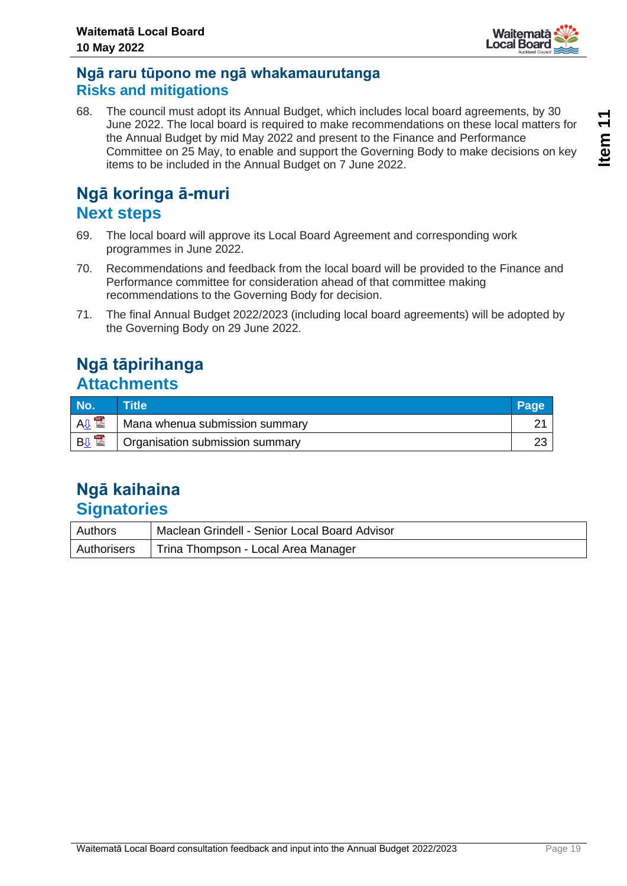

Waitemata **Local Board** 

68. The council must adopt its Annual Budget, which includes local board agreements, by 30 June 2022. The local board is required to make recommendations on these local matters for the Annual Budget by mid May 2022 and present to the Finance and Performance Committee on 25 May, to enable and support the Governing Body to make decisions on key items to be included in the Annual Budget on 7 June 2022.

## **Ngā koringa ā-muri Next steps**

- 69. The local board will approve its Local Board Agreement and corresponding work programmes in June 2022.
- 70. Recommendations and feedback from the local board will be provided to the Finance and Performance committee for consideration ahead of that committee making recommendations to the Governing Body for decision.
- 71. The final Annual Budget 2022/2023 (including local board agreements) will be adopted by the Governing Body on 29 June 2022.

## **Ngā tāpirihanga Attachments**

| No.                                | Title                           | Page |
|------------------------------------|---------------------------------|------|
| <b>POR</b><br><b>A<sub>U</sub></b> | Mana whenua submission summary  |      |
| <b>BU</b>                          | Organisation submission summary | ົ    |

## **Ngā kaihaina Signatories**

| Authors | Maclean Grindell - Senior Local Board Advisor     |
|---------|---------------------------------------------------|
|         | Authorisers   Trina Thompson - Local Area Manager |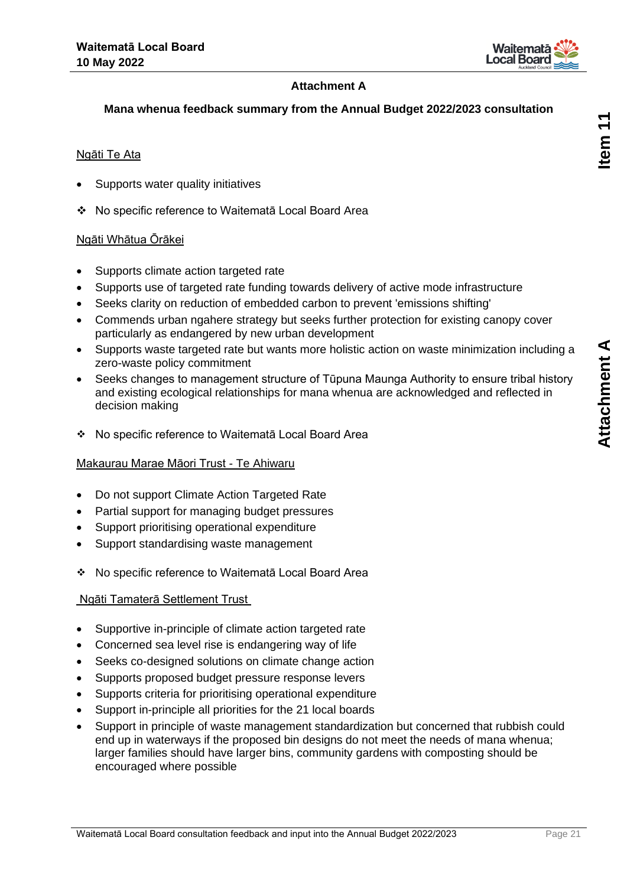

## **Attachment A**

## <span id="page-20-0"></span>**Mana whenua feedback summary from the Annual Budget 2022/2023 consultation**

### Ngāti Te Ata

- Supports water quality initiatives
- ❖ No specific reference to Waitematā Local Board Area

### Ngāti Whātua Ōrākei

- Supports climate action targeted rate
- Supports use of targeted rate funding towards delivery of active mode infrastructure
- Seeks clarity on reduction of embedded carbon to prevent 'emissions shifting'
- Commends urban ngahere strategy but seeks further protection for existing canopy cover particularly as endangered by new urban development
- Supports waste targeted rate but wants more holistic action on waste minimization including a zero-waste policy commitment
- Seeks changes to management structure of Tūpuna Maunga Authority to ensure tribal history and existing ecological relationships for mana whenua are acknowledged and reflected in decision making
- ❖ No specific reference to Waitematā Local Board Area

### Makaurau Marae Māori Trust - Te Ahiwaru

- Do not support Climate Action Targeted Rate
- Partial support for managing budget pressures
- Support prioritising operational expenditure
- Support standardising waste management
- ❖ No specific reference to Waitematā Local Board Area

### Ngāti Tamaterā Settlement Trust

- Supportive in-principle of climate action targeted rate
- Concerned sea level rise is endangering way of life
- Seeks co-designed solutions on climate change action
- Supports proposed budget pressure response levers
- Supports criteria for prioritising operational expenditure
- Support in-principle all priorities for the 21 local boards
- Support in principle of waste management standardization but concerned that rubbish could end up in waterways if the proposed bin designs do not meet the needs of mana whenua; larger families should have larger bins, community gardens with composting should be encouraged where possible

tem  $11$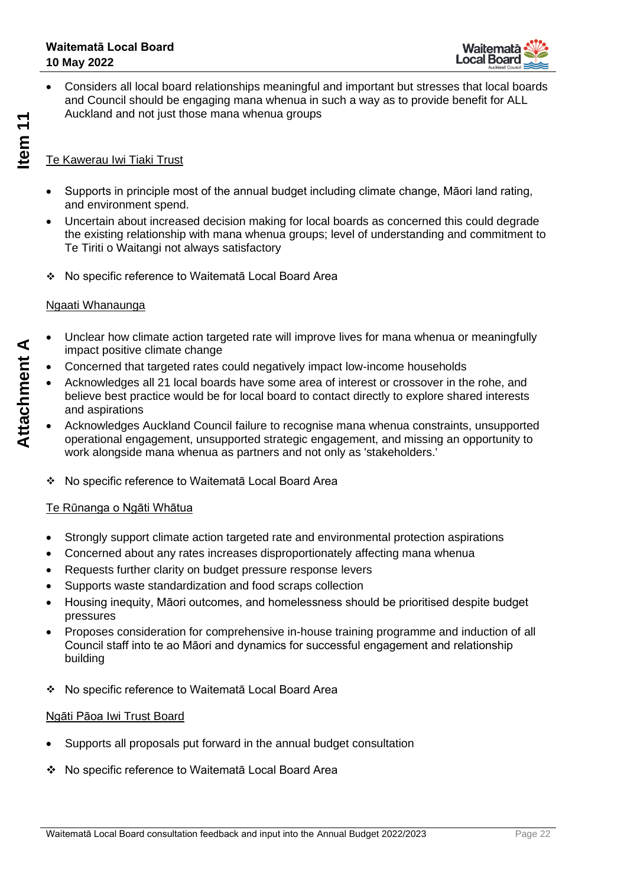

• Considers all local board relationships meaningful and important but stresses that local boards and Council should be engaging mana whenua in such a way as to provide benefit for ALL Auckland and not just those mana whenua groups

### Te Kawerau Iwi Tiaki Trust

- Supports in principle most of the annual budget including climate change, Māori land rating, and environment spend.
- Uncertain about increased decision making for local boards as concerned this could degrade the existing relationship with mana whenua groups; level of understanding and commitment to Te Tiriti o Waitangi not always satisfactory
- ❖ No specific reference to Waitematā Local Board Area

### Ngaati Whanaunga

- Unclear how climate action targeted rate will improve lives for mana whenua or meaningfully impact positive climate change
- Concerned that targeted rates could negatively impact low-income households
- Acknowledges all 21 local boards have some area of interest or crossover in the rohe, and believe best practice would be for local board to contact directly to explore shared interests and aspirations
- Acknowledges Auckland Council failure to recognise mana whenua constraints, unsupported operational engagement, unsupported strategic engagement, and missing an opportunity to work alongside mana whenua as partners and not only as 'stakeholders.'
- ❖ No specific reference to Waitematā Local Board Area

### Te Rūnanga o Ngāti Whātua

- Strongly support climate action targeted rate and environmental protection aspirations
- Concerned about any rates increases disproportionately affecting mana whenua
- Requests further clarity on budget pressure response levers
- Supports waste standardization and food scraps collection
- Housing inequity, Māori outcomes, and homelessness should be prioritised despite budget pressures
- Proposes consideration for comprehensive in-house training programme and induction of all Council staff into te ao Māori and dynamics for successful engagement and relationship building
- ❖ No specific reference to Waitematā Local Board Area

### Ngāti Pāoa Iwi Trust Board

- Supports all proposals put forward in the annual budget consultation
- ❖ No specific reference to Waitematā Local Board Area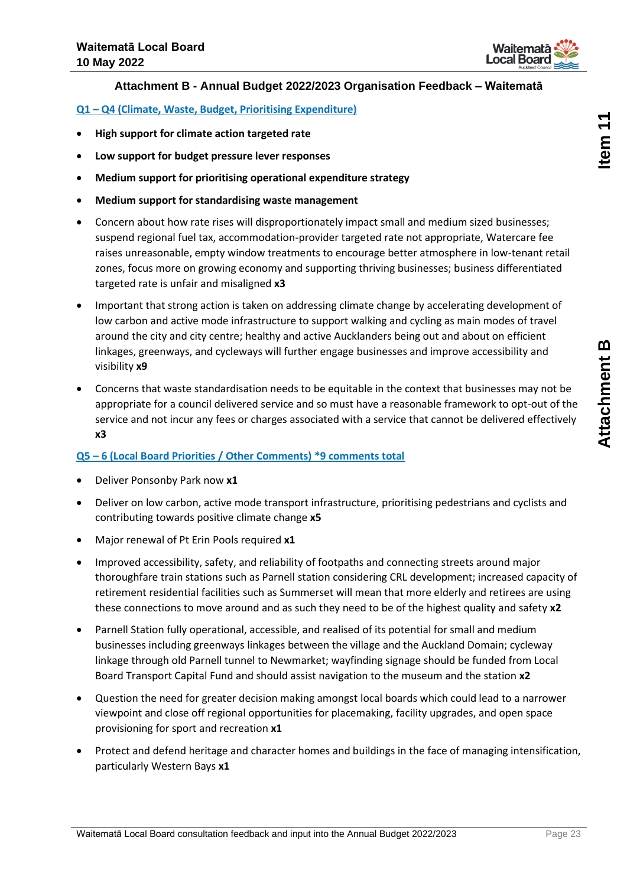

### **Attachment B - Annual Budget 2022/2023 Organisation Feedback – Waitematā**

<span id="page-22-0"></span>**Q1 – Q4 (Climate, Waste, Budget, Prioritising Expenditure)**

- **High support for climate action targeted rate**
- **Low support for budget pressure lever responses**
- **Medium support for prioritising operational expenditure strategy**
- **Medium support for standardising waste management**
- Concern about how rate rises will disproportionately impact small and medium sized businesses; suspend regional fuel tax, accommodation-provider targeted rate not appropriate, Watercare fee raises unreasonable, empty window treatments to encourage better atmosphere in low-tenant retail zones, focus more on growing economy and supporting thriving businesses; business differentiated targeted rate is unfair and misaligned **x3**
- Important that strong action is taken on addressing climate change by accelerating development of low carbon and active mode infrastructure to support walking and cycling as main modes of travel around the city and city centre; healthy and active Aucklanders being out and about on efficient linkages, greenways, and cycleways will further engage businesses and improve accessibility and visibility **x9**
- Concerns that waste standardisation needs to be equitable in the context that businesses may not be appropriate for a council delivered service and so must have a reasonable framework to opt-out of the service and not incur any fees or charges associated with a service that cannot be delivered effectively **x3**

### **Q5 – 6 (Local Board Priorities / Other Comments) \*9 comments total**

- Deliver Ponsonby Park now **x1**
- Deliver on low carbon, active mode transport infrastructure, prioritising pedestrians and cyclists and contributing towards positive climate change **x5**
- Major renewal of Pt Erin Pools required **x1**
- Improved accessibility, safety, and reliability of footpaths and connecting streets around major thoroughfare train stations such as Parnell station considering CRL development; increased capacity of retirement residential facilities such as Summerset will mean that more elderly and retirees are using these connections to move around and as such they need to be of the highest quality and safety **x2**
- Parnell Station fully operational, accessible, and realised of its potential for small and medium businesses including greenways linkages between the village and the Auckland Domain; cycleway linkage through old Parnell tunnel to Newmarket; wayfinding signage should be funded from Local Board Transport Capital Fund and should assist navigation to the museum and the station **x2**
- Question the need for greater decision making amongst local boards which could lead to a narrower viewpoint and close off regional opportunities for placemaking, facility upgrades, and open space provisioning for sport and recreation **x1**
- Protect and defend heritage and character homes and buildings in the face of managing intensification, particularly Western Bays **x1**

tem 11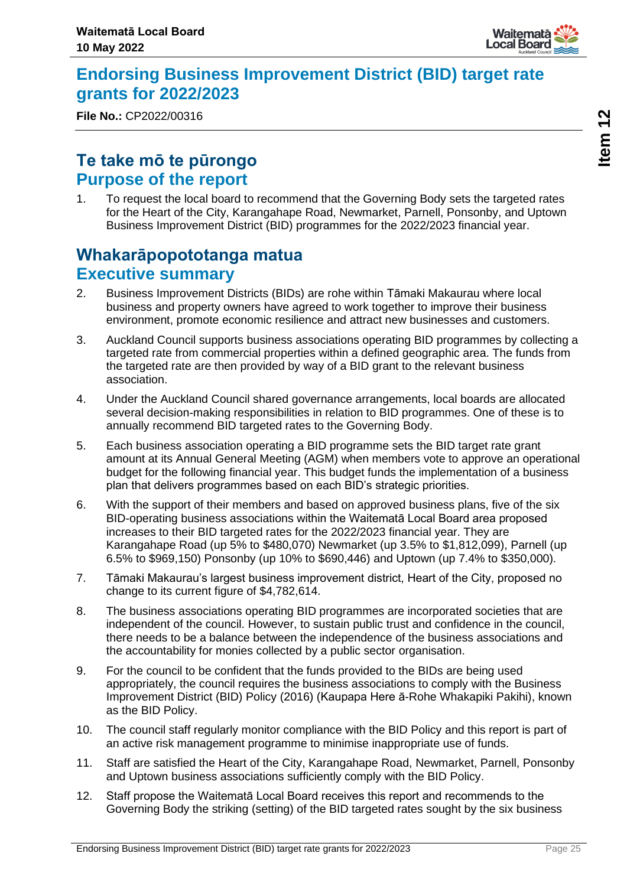

## <span id="page-24-0"></span>**Endorsing Business Improvement District (BID) target rate grants for 2022/2023**

**File No.:** CP2022/00316

## **Te take mō te pūrongo Purpose of the report**

1. To request the local board to recommend that the Governing Body sets the targeted rates for the Heart of the City, Karangahape Road, Newmarket, Parnell, Ponsonby, and Uptown Business Improvement District (BID) programmes for the 2022/2023 financial year.

## **Whakarāpopototanga matua Executive summary**

- 2. Business Improvement Districts (BIDs) are rohe within Tāmaki Makaurau where local business and property owners have agreed to work together to improve their business environment, promote economic resilience and attract new businesses and customers.
- 3. Auckland Council supports business associations operating BID programmes by collecting a targeted rate from commercial properties within a defined geographic area. The funds from the targeted rate are then provided by way of a BID grant to the relevant business association.
- 4. Under the Auckland Council shared governance arrangements, local boards are allocated several decision-making responsibilities in relation to BID programmes. One of these is to annually recommend BID targeted rates to the Governing Body.
- 5. Each business association operating a BID programme sets the BID target rate grant amount at its Annual General Meeting (AGM) when members vote to approve an operational budget for the following financial year. This budget funds the implementation of a business plan that delivers programmes based on each BID's strategic priorities.
- 6. With the support of their members and based on approved business plans, five of the six BID-operating business associations within the Waitematā Local Board area proposed increases to their BID targeted rates for the 2022/2023 financial year. They are Karangahape Road (up 5% to \$480,070) Newmarket (up 3.5% to \$1,812,099), Parnell (up 6.5% to \$969,150) Ponsonby (up 10% to \$690,446) and Uptown (up 7.4% to \$350,000).
- 7. Tāmaki Makaurau's largest business improvement district, Heart of the City, proposed no change to its current figure of \$4,782,614.
- 8. The business associations operating BID programmes are incorporated societies that are independent of the council. However, to sustain public trust and confidence in the council, there needs to be a balance between the independence of the business associations and the accountability for monies collected by a public sector organisation.
- 9. For the council to be confident that the funds provided to the BIDs are being used appropriately, the council requires the business associations to comply with the Business Improvement District (BID) Policy (2016) (Kaupapa Here ā-Rohe Whakapiki Pakihi), known as the BID Policy.
- 10. The council staff regularly monitor compliance with the BID Policy and this report is part of an active risk management programme to minimise inappropriate use of funds.
- 11. Staff are satisfied the Heart of the City, Karangahape Road, Newmarket, Parnell, Ponsonby and Uptown business associations sufficiently comply with the BID Policy.
- 12. Staff propose the Waitematā Local Board receives this report and recommends to the Governing Body the striking (setting) of the BID targeted rates sought by the six business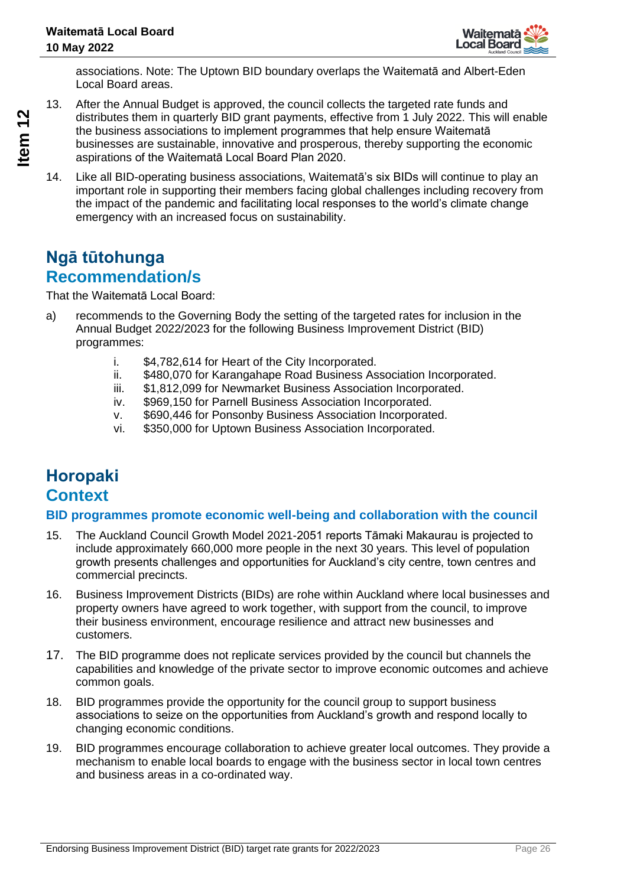

associations. Note: The Uptown BID boundary overlaps the Waitematā and Albert-Eden Local Board areas.

- 13. After the Annual Budget is approved, the council collects the targeted rate funds and distributes them in quarterly BID grant payments, effective from 1 July 2022. This will enable the business associations to implement programmes that help ensure Waitematā businesses are sustainable, innovative and prosperous, thereby supporting the economic aspirations of the Waitematā Local Board Plan 2020.
- 14. Like all BID-operating business associations, Waitematā's six BIDs will continue to play an important role in supporting their members facing global challenges including recovery from the impact of the pandemic and facilitating local responses to the world's climate change emergency with an increased focus on sustainability.

## **Ngā tūtohunga Recommendation/s**

That the Waitematā Local Board:

- a) recommends to the Governing Body the setting of the targeted rates for inclusion in the Annual Budget 2022/2023 for the following Business Improvement District (BID) programmes:
	- i. \$4,782,614 for Heart of the City Incorporated.
	- ii. \$480,070 for Karangahape Road Business Association Incorporated.
	- iii. \$1,812,099 for Newmarket Business Association Incorporated.
	- iv. \$969,150 for Parnell Business Association Incorporated.
	- v. \$690,446 for Ponsonby Business Association Incorporated.
	- vi. \$350,000 for Uptown Business Association Incorporated.

## **Horopaki Context**

### **BID programmes promote economic well-being and collaboration with the council**

- 15. The Auckland Council Growth Model 2021-2051 reports Tāmaki Makaurau is projected to include approximately 660,000 more people in the next 30 years. This level of population growth presents challenges and opportunities for Auckland's city centre, town centres and commercial precincts.
- 16. Business Improvement Districts (BIDs) are rohe within Auckland where local businesses and property owners have agreed to work together, with support from the council, to improve their business environment, encourage resilience and attract new businesses and customers.
- 17. The BID programme does not replicate services provided by the council but channels the capabilities and knowledge of the private sector to improve economic outcomes and achieve common goals.
- 18. BID programmes provide the opportunity for the council group to support business associations to seize on the opportunities from Auckland's growth and respond locally to changing economic conditions.
- 19. BID programmes encourage collaboration to achieve greater local outcomes. They provide a mechanism to enable local boards to engage with the business sector in local town centres and business areas in a co-ordinated way.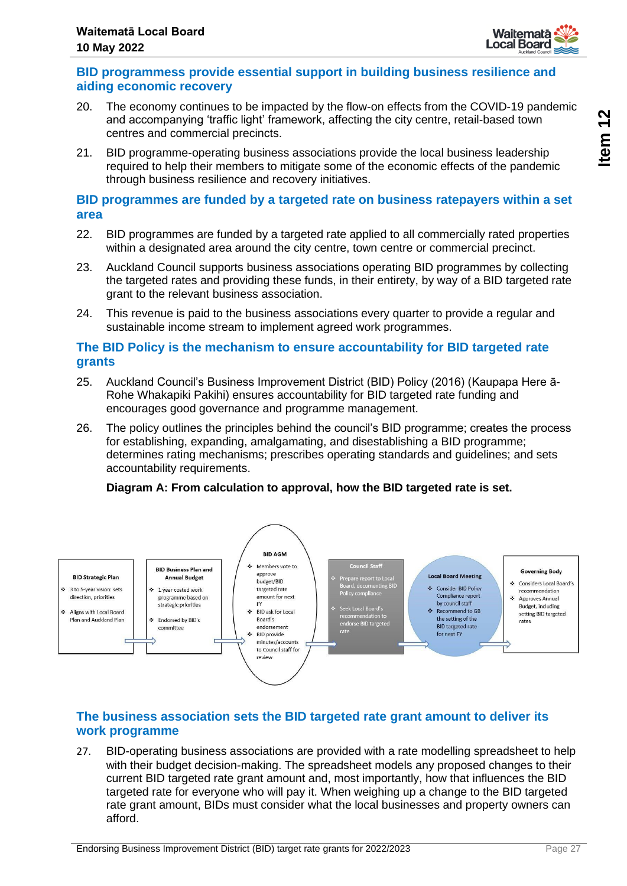

### **BID programmess provide essential support in building business resilience and aiding economic recovery**

- 20. The economy continues to be impacted by the flow-on effects from the COVID-19 pandemic and accompanying 'traffic light' framework, affecting the city centre, retail-based town centres and commercial precincts.
- 21. BID programme-operating business associations provide the local business leadership required to help their members to mitigate some of the economic effects of the pandemic through business resilience and recovery initiatives.

### **BID programmes are funded by a targeted rate on business ratepayers within a set area**

- 22. BID programmes are funded by a targeted rate applied to all commercially rated properties within a designated area around the city centre, town centre or commercial precinct.
- 23. Auckland Council supports business associations operating BID programmes by collecting the targeted rates and providing these funds, in their entirety, by way of a BID targeted rate grant to the relevant business association.
- 24. This revenue is paid to the business associations every quarter to provide a regular and sustainable income stream to implement agreed work programmes.

### **The BID Policy is the mechanism to ensure accountability for BID targeted rate grants**

- 25. Auckland Council's Business Improvement District (BID) Policy (2016) (Kaupapa Here ā-Rohe Whakapiki Pakihi) ensures accountability for BID targeted rate funding and encourages good governance and programme management.
- 26. The policy outlines the principles behind the council's BID programme; creates the process for establishing, expanding, amalgamating, and disestablishing a BID programme; determines rating mechanisms; prescribes operating standards and guidelines; and sets accountability requirements.

## **Diagram A: From calculation to approval, how the BID targeted rate is set.**



## **The business association sets the BID targeted rate grant amount to deliver its work programme**

27. BID-operating business associations are provided with a rate modelling spreadsheet to help with their budget decision-making. The spreadsheet models any proposed changes to their current BID targeted rate grant amount and, most importantly, how that influences the BID targeted rate for everyone who will pay it. When weighing up a change to the BID targeted rate grant amount, BIDs must consider what the local businesses and property owners can afford.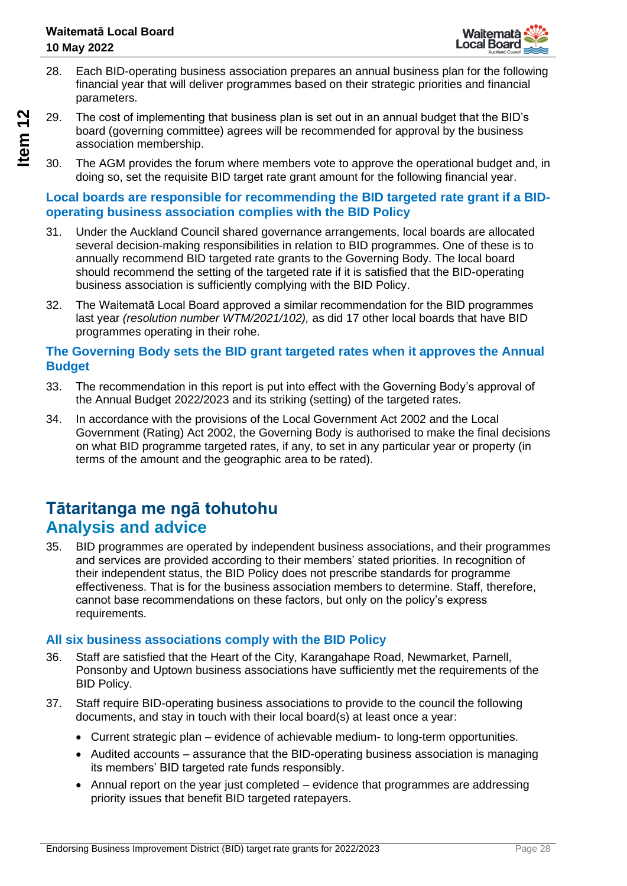- 28. Each BID-operating business association prepares an annual business plan for the following financial year that will deliver programmes based on their strategic priorities and financial parameters.
- 29. The cost of implementing that business plan is set out in an annual budget that the BID's board (governing committee) agrees will be recommended for approval by the business association membership.
- 30. The AGM provides the forum where members vote to approve the operational budget and, in doing so, set the requisite BID target rate grant amount for the following financial year.

### **Local boards are responsible for recommending the BID targeted rate grant if a BIDoperating business association complies with the BID Policy**

- 31. Under the Auckland Council shared governance arrangements, local boards are allocated several decision-making responsibilities in relation to BID programmes. One of these is to annually recommend BID targeted rate grants to the Governing Body. The local board should recommend the setting of the targeted rate if it is satisfied that the BID-operating business association is sufficiently complying with the BID Policy.
- 32. The Waitematā Local Board approved a similar recommendation for the BID programmes last year *(resolution number WTM/2021/102),* as did 17 other local boards that have BID programmes operating in their rohe.

### **The Governing Body sets the BID grant targeted rates when it approves the Annual Budget**

- 33. The recommendation in this report is put into effect with the Governing Body's approval of the Annual Budget 2022/2023 and its striking (setting) of the targeted rates.
- 34. In accordance with the provisions of the Local Government Act 2002 and the Local Government (Rating) Act 2002, the Governing Body is authorised to make the final decisions on what BID programme targeted rates, if any, to set in any particular year or property (in terms of the amount and the geographic area to be rated).

## **Tātaritanga me ngā tohutohu Analysis and advice**

35. BID programmes are operated by independent business associations, and their programmes and services are provided according to their members' stated priorities. In recognition of their independent status, the BID Policy does not prescribe standards for programme effectiveness. That is for the business association members to determine. Staff, therefore, cannot base recommendations on these factors, but only on the policy's express requirements.

## **All six business associations comply with the BID Policy**

- 36. Staff are satisfied that the Heart of the City, Karangahape Road, Newmarket, Parnell, Ponsonby and Uptown business associations have sufficiently met the requirements of the BID Policy.
- 37. Staff require BID-operating business associations to provide to the council the following documents, and stay in touch with their local board(s) at least once a year:
	- Current strategic plan evidence of achievable medium- to long-term opportunities.
	- Audited accounts assurance that the BID-operating business association is managing its members' BID targeted rate funds responsibly.
	- Annual report on the year just completed evidence that programmes are addressing priority issues that benefit BID targeted ratepayers.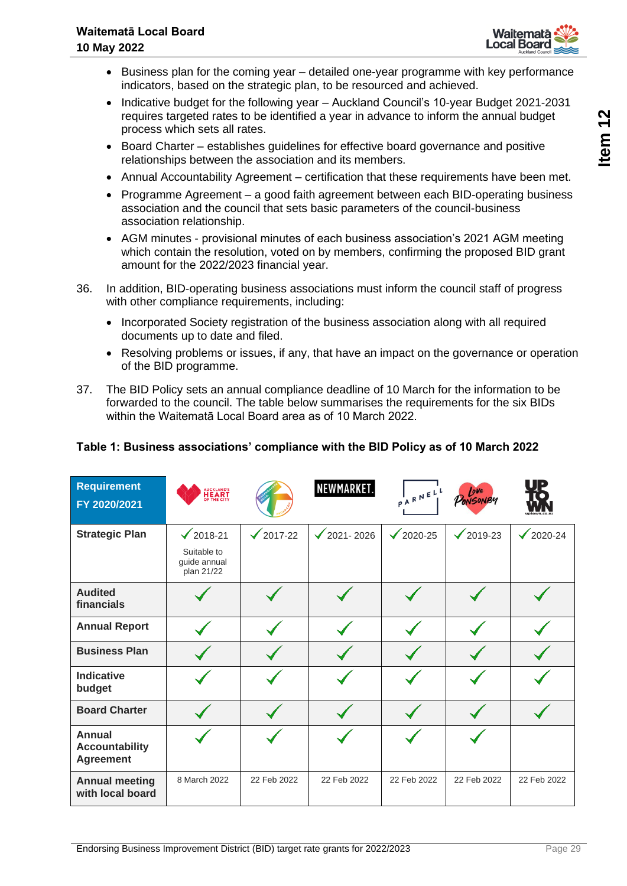

- Business plan for the coming year detailed one-year programme with key performance indicators, based on the strategic plan, to be resourced and achieved.
- Indicative budget for the following year Auckland Council's 10-year Budget 2021-2031 requires targeted rates to be identified a year in advance to inform the annual budget process which sets all rates.
- Board Charter establishes guidelines for effective board governance and positive relationships between the association and its members.
- Annual Accountability Agreement certification that these requirements have been met.
- Programme Agreement a good faith agreement between each BID-operating business association and the council that sets basic parameters of the council-business association relationship.
- AGM minutes provisional minutes of each business association's 2021 AGM meeting which contain the resolution, voted on by members, confirming the proposed BID grant amount for the 2022/2023 financial year.
- 36. In addition, BID-operating business associations must inform the council staff of progress with other compliance requirements, including:
	- Incorporated Society registration of the business association along with all required documents up to date and filed.
	- Resolving problems or issues, if any, that have an impact on the governance or operation of the BID programme.
- 37. The BID Policy sets an annual compliance deadline of 10 March for the information to be forwarded to the council. The table below summarises the requirements for the six BIDs within the Waitematā Local Board area as of 10 March 2022.

| <b>Requirement</b><br>FY 2020/2021                         | AUCKLAND'S<br><b>HEART</b>                |              | NEWMARKET.           | $P^{\mathsf{I}}$ ARNELL | Love<br>PONSONBY        | D                  |
|------------------------------------------------------------|-------------------------------------------|--------------|----------------------|-------------------------|-------------------------|--------------------|
| <b>Strategic Plan</b>                                      | $\frac{\sqrt{2018}}{21}$                  | 2017-22<br>✓ | $\sqrt{2021 - 2026}$ | 2020-25<br>$\checkmark$ | 2019-23<br>$\checkmark$ | $\sqrt{2020 - 24}$ |
|                                                            | Suitable to<br>quide annual<br>plan 21/22 |              |                      |                         |                         |                    |
| <b>Audited</b><br>financials                               |                                           |              |                      |                         |                         |                    |
| <b>Annual Report</b>                                       |                                           |              |                      |                         |                         |                    |
| <b>Business Plan</b>                                       |                                           |              |                      |                         |                         |                    |
| <b>Indicative</b><br>budget                                |                                           |              |                      |                         |                         |                    |
| <b>Board Charter</b>                                       |                                           |              |                      |                         |                         |                    |
| <b>Annual</b><br><b>Accountability</b><br><b>Agreement</b> |                                           |              |                      |                         |                         |                    |
| <b>Annual meeting</b><br>with local board                  | 8 March 2022                              | 22 Feb 2022  | 22 Feb 2022          | 22 Feb 2022             | 22 Feb 2022             | 22 Feb 2022        |

## **Table 1: Business associations' compliance with the BID Policy as of 10 March 2022**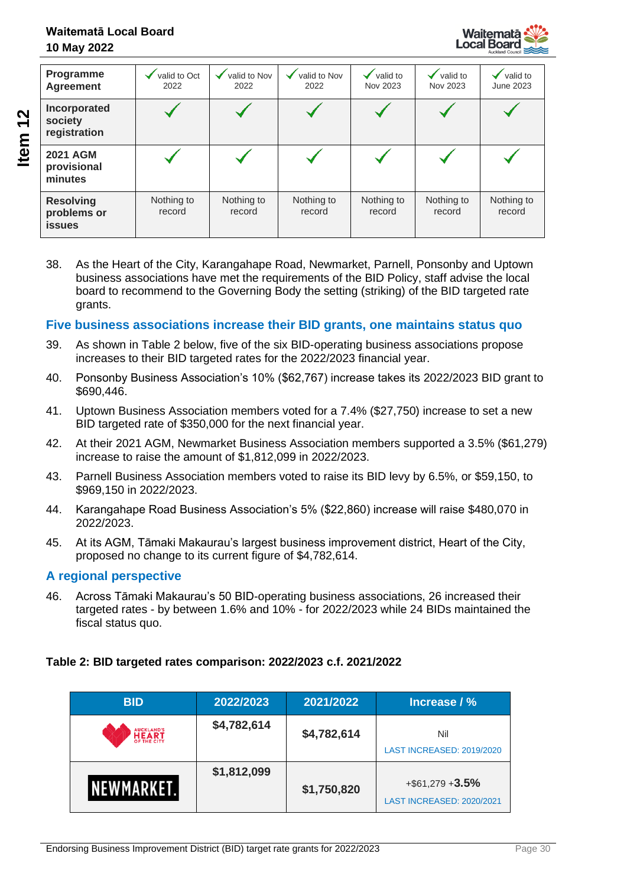

| Programme<br><b>Agreement</b>                    | valid to Oct<br>2022 | valid to Nov<br>2022 | valid to Nov<br>2022 | valid to<br>Nov 2023 | valid to<br>Nov 2023 | valid to<br><b>June 2023</b> |
|--------------------------------------------------|----------------------|----------------------|----------------------|----------------------|----------------------|------------------------------|
| Incorporated<br>society<br>registration          |                      |                      |                      |                      |                      |                              |
| <b>2021 AGM</b><br>provisional<br>minutes        |                      |                      |                      |                      |                      |                              |
| <b>Resolving</b><br>problems or<br><b>issues</b> | Nothing to<br>record | Nothing to<br>record | Nothing to<br>record | Nothing to<br>record | Nothing to<br>record | Nothing to<br>record         |

38. As the Heart of the City, Karangahape Road, Newmarket, Parnell, Ponsonby and Uptown business associations have met the requirements of the BID Policy, staff advise the local board to recommend to the Governing Body the setting (striking) of the BID targeted rate grants.

### **Five business associations increase their BID grants, one maintains status quo**

- 39. As shown in Table 2 below, five of the six BID-operating business associations propose increases to their BID targeted rates for the 2022/2023 financial year.
- 40. Ponsonby Business Association's 10% (\$62,767) increase takes its 2022/2023 BID grant to \$690,446.
- 41. Uptown Business Association members voted for a 7.4% (\$27,750) increase to set a new BID targeted rate of \$350,000 for the next financial year.
- 42. At their 2021 AGM, Newmarket Business Association members supported a 3.5% (\$61,279) increase to raise the amount of \$1,812,099 in 2022/2023.
- 43. Parnell Business Association members voted to raise its BID levy by 6.5%, or \$59,150, to \$969,150 in 2022/2023.
- 44. Karangahape Road Business Association's 5% (\$22,860) increase will raise \$480,070 in 2022/2023.
- 45. At its AGM, Tāmaki Makaurau's largest business improvement district, Heart of the City, proposed no change to its current figure of \$4,782,614.

### **A regional perspective**

46. Across Tāmaki Makaurau's 50 BID-operating business associations, 26 increased their targeted rates - by between 1.6% and 10% - for 2022/2023 while 24 BIDs maintained the fiscal status quo.

### **Table 2: BID targeted rates comparison: 2022/2023 c.f. 2021/2022**

| <b>BID</b>     | 2022/2023   | 2021/2022   | Increase / %                                     |
|----------------|-------------|-------------|--------------------------------------------------|
| <b>HEART</b>   | \$4,782,614 | \$4,782,614 | Nil<br>LAST INCREASED: 2019/2020                 |
| <b>WEWMARK</b> | \$1,812,099 | \$1,750,820 | $+$ \$61,279 + 3.5%<br>LAST INCREASED: 2020/2021 |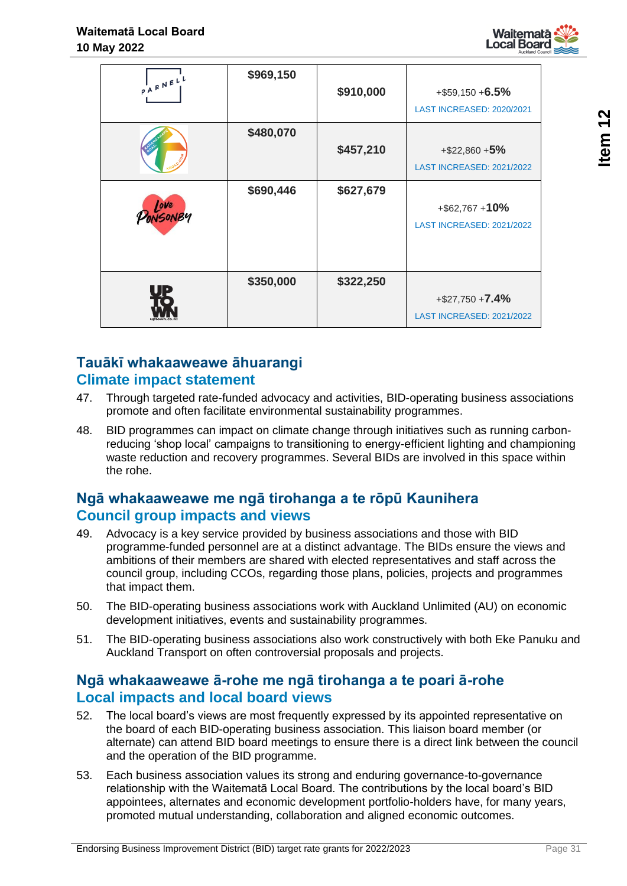

| PARNELL  | \$969,150 | \$910,000 | $+$ \$59,150 + 6.5%<br>LAST INCREASED: 2020/2021 |
|----------|-----------|-----------|--------------------------------------------------|
|          | \$480,070 | \$457,210 | $+$ \$22,860 +5%<br>LAST INCREASED: 2021/2022    |
| DONSONBY | \$690,446 | \$627,679 | $+$ \$62,767 + 10%<br>LAST INCREASED: 2021/2022  |
|          | \$350,000 | \$322,250 | $+ $27,750 + 7.4%$<br>LAST INCREASED: 2021/2022  |

## **Tauākī whakaaweawe āhuarangi Climate impact statement**

- 47. Through targeted rate-funded advocacy and activities, BID-operating business associations promote and often facilitate environmental sustainability programmes.
- 48. BID programmes can impact on climate change through initiatives such as running carbonreducing 'shop local' campaigns to transitioning to energy-efficient lighting and championing waste reduction and recovery programmes. Several BIDs are involved in this space within the rohe.

## **Ngā whakaaweawe me ngā tirohanga a te rōpū Kaunihera Council group impacts and views**

- 49. Advocacy is a key service provided by business associations and those with BID programme-funded personnel are at a distinct advantage. The BIDs ensure the views and ambitions of their members are shared with elected representatives and staff across the council group, including CCOs, regarding those plans, policies, projects and programmes that impact them.
- 50. The BID-operating business associations work with Auckland Unlimited (AU) on economic development initiatives, events and sustainability programmes.
- 51. The BID-operating business associations also work constructively with both Eke Panuku and Auckland Transport on often controversial proposals and projects.

## **Ngā whakaaweawe ā-rohe me ngā tirohanga a te poari ā-rohe Local impacts and local board views**

- 52. The local board's views are most frequently expressed by its appointed representative on the board of each BID-operating business association. This liaison board member (or alternate) can attend BID board meetings to ensure there is a direct link between the council and the operation of the BID programme.
- 53. Each business association values its strong and enduring governance-to-governance relationship with the Waitematā Local Board. The contributions by the local board's BID appointees, alternates and economic development portfolio-holders have, for many years, promoted mutual understanding, collaboration and aligned economic outcomes.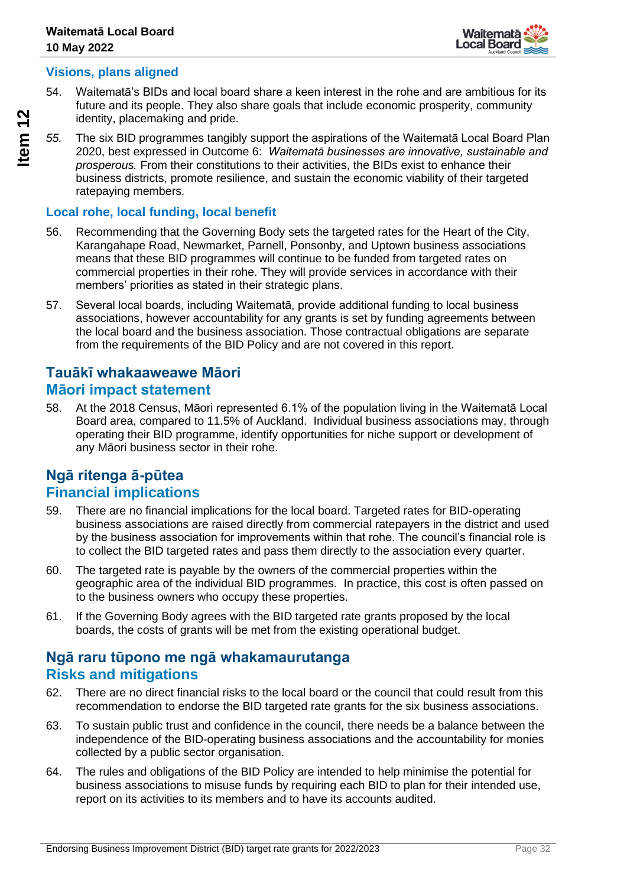

## **Visions, plans aligned**

- 54. Waitematā's BIDs and local board share a keen interest in the rohe and are ambitious for its future and its people. They also share goals that include economic prosperity, community identity, placemaking and pride.
- *55.* The six BID programmes tangibly support the aspirations of the Waitematā Local Board Plan 2020, best expressed in Outcome 6: *Waitematā businesses are innovative, sustainable and prosperous.* From their constitutions to their activities, the BIDs exist to enhance their business districts, promote resilience, and sustain the economic viability of their targeted ratepaying members.

## **Local rohe, local funding, local benefit**

- 56. Recommending that the Governing Body sets the targeted rates for the Heart of the City, Karangahape Road, Newmarket, Parnell, Ponsonby, and Uptown business associations means that these BID programmes will continue to be funded from targeted rates on commercial properties in their rohe. They will provide services in accordance with their members' priorities as stated in their strategic plans.
- 57. Several local boards, including Waitematā, provide additional funding to local business associations, however accountability for any grants is set by funding agreements between the local board and the business association. Those contractual obligations are separate from the requirements of the BID Policy and are not covered in this report.

## **Tauākī whakaaweawe Māori Māori impact statement**

58. At the 2018 Census, Māori represented 6.1% of the population living in the Waitematā Local Board area, compared to 11.5% of Auckland. Individual business associations may, through operating their BID programme, identify opportunities for niche support or development of any Māori business sector in their rohe.

## **Ngā ritenga ā-pūtea Financial implications**

- 59. There are no financial implications for the local board. Targeted rates for BID-operating business associations are raised directly from commercial ratepayers in the district and used by the business association for improvements within that rohe. The council's financial role is to collect the BID targeted rates and pass them directly to the association every quarter.
- 60. The targeted rate is payable by the owners of the commercial properties within the geographic area of the individual BID programmes. In practice, this cost is often passed on to the business owners who occupy these properties.
- 61. If the Governing Body agrees with the BID targeted rate grants proposed by the local boards, the costs of grants will be met from the existing operational budget.

## **Ngā raru tūpono me ngā whakamaurutanga Risks and mitigations**

- 62. There are no direct financial risks to the local board or the council that could result from this recommendation to endorse the BID targeted rate grants for the six business associations.
- 63. To sustain public trust and confidence in the council, there needs be a balance between the independence of the BID-operating business associations and the accountability for monies collected by a public sector organisation.
- 64. The rules and obligations of the BID Policy are intended to help minimise the potential for business associations to misuse funds by requiring each BID to plan for their intended use, report on its activities to its members and to have its accounts audited.